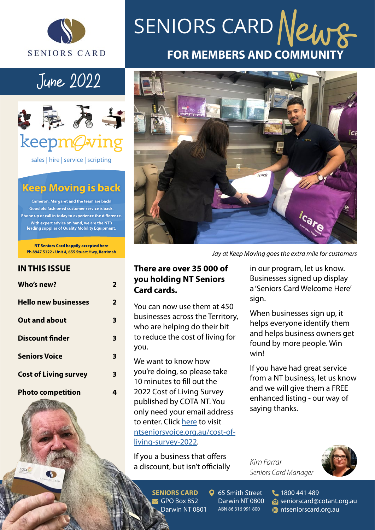

# June 2022



sales | hire | service | scripting

### **Keep Moving is back**

Cameron, Margaret and the team are back! Good old fashioned customer service is back. Phone up or call in today to experience the difference. With expert advice on hand, we are the NT's leading supplier of Quality Mobility Equipment.

NT Seniors Card happily accepted here Ph 8947 5122 · Unit 4, 655 Stuart Hwy, Berrimah

### **IN THIS ISSUE**

COTA

| Who's new?                   | 2 |
|------------------------------|---|
| <b>Hello new businesses</b>  | 2 |
| <b>Out and about</b>         | 3 |
| <b>Discount finder</b>       | 3 |
| <b>Seniors Voice</b>         | 3 |
| <b>Cost of Living survey</b> | 3 |
| <b>Photo competition</b>     |   |

# **FOR MEMBERS AND COMMUNITY** SENIORS CARD News



*Jay at Keep Moving goes the extra mile for customers*

### **There are over 35 000 of you holding NT Seniors Card cards.**

You can now use them at 450 businesses across the Territory, who are helping do their bit to reduce the cost of living for you.

We want to know how you're doing, so please take 10 minutes to fill out the 2022 Cost of Living Survey published by COTA NT. You only need your email address to enter. Click [here](https://ntseniorsvoice.org.au/cost-of-living-survey-2022) to visit [ntseniorsvoice.org.au/cost-of](https://ntseniorsvoice.org.au/cost-of-living-survey-2022)[living-survey-2022.](https://ntseniorsvoice.org.au/cost-of-living-survey-2022)

If you a business that offers a discount, but isn't officially in our program, let us know. Businesses signed up display a 'Seniors Card Welcome Here' sign.

When businesses sign up, it helps everyone identify them and helps business owners get found by more people. Win win!

If you have had great service from a NT business, let us know and we will give them a FREE enhanced listing - our way of saying thanks.

*Kim Farrar Seniors Card Manager*



**SENIORS CARD**  $\blacktriangledown$  GPO Box 852 Darwin NT 0801 **Q** 65 Smith Street Darwin NT 0800 ABN 86 316 991 800

1800 441 489 seniorscard@cotant.org.au **fta** ntseniorscard.org.au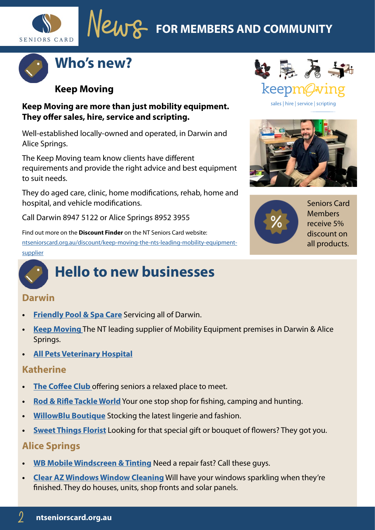**FOR MEMBERS AND COMMUNITY**





### **Keep Moving**

### **Keep Moving are more than just mobility equipment. They offer sales, hire, service and scripting.**

Well-established locally-owned and operated, in Darwin and Alice Springs.

The Keep Moving team know clients have different requirements and provide the right advice and best equipment to suit needs.

They do aged care, clinic, home modifications, rehab, home and hospital, and vehicle modifications.

Call Darwin 8947 5122 or Alice Springs 8952 3955

Find out more on the **Discount Finder** on the NT Seniors Card website: [ntseniorscard.org.au/discount/keep-moving-the-nts-leading-mobility-equipment](https://ntseniorscard.org.au/discount/keep-moving-the-nts-leading-mobility-equipment-supplier/)[supplier](https://ntseniorscard.org.au/discount/keep-moving-the-nts-leading-mobility-equipment-supplier/)

# **Hello to new businesses**

### **Darwin**

- **• [Friendly Pool & Spa Care](https://ntseniorscard.org.au/discount/friendly-pool-and-spa-care/)** Servicing all of Darwin.
- **• [Keep Moving](https://ntseniorscard.org.au/discount/keep-moving-the-nts-leading-mobility-equipment-supplier/)** The NT leading supplier of Mobility Equipment premises in Darwin & Alice Springs.
- **• [All Pets Veterinary Hospital](https://ntseniorscard.org.au/discount/all-pets-veterinary-hospital/)**

### **Katherine**

- **• [The Coffee Club](https://ntseniorscard.org.au/discount/coffee-club-katherine/)** offering seniors a relaxed place to meet.
- **• [Rod & Rifle Tackle World](https://ntseniorscard.org.au/discount/rod-and-rifle-tackle-world-katherine/)** Your one stop shop for fishing, camping and hunting.
- **• [WillowBlu Boutique](https://ntseniorscard.org.au/discount/willowblu-boutique/)** Stocking the latest lingerie and fashion.
- **• [Sweet Things Florist](https://ntseniorscard.org.au/discount/the-sweetest-things-florist/)** Looking for that special gift or bouquet of flowers? They got you.

### **Alice Springs**

- **• [WB Mobile Windscreen & Tinting](https://ntseniorscard.org.au/discount/wb-mobile-windscreens-and-tinting/)** Need a repair fast? Call these guys.
- **• [Clear AZ Windows Window Cleaning](https://ntseniorscard.org.au/discount/clear-as-windows-window-cleaning/)** Will have your windows sparkling when they're finished. They do houses, units, shop fronts and solar panels.



sales | hire | service | scripting



Seniors Card Members receive 5% discount on all products.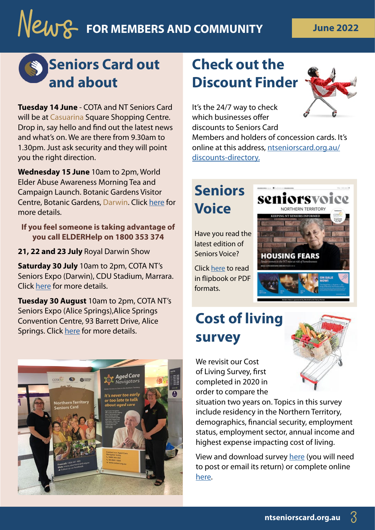# **News** FOR MEMBERS AND COMMUNITY THE June 2022

# **Seniors Card out and about**

**Tuesday 14 June** - COTA and NT Seniors Card will be at Casuarina Square Shopping Centre. Drop in, say hello and find out the latest news and what's on. We are there from 9.30am to 1.30pm. Just ask security and they will point you the right direction.

**Wednesday 15 June** 10am to 2pm, World Elder Abuse Awareness Morning Tea and Campaign Launch. Botanic Gardens Visitor Centre, Botanic Gardens, Darwin. Click [here](https://www.cotant.org.au/event/world-elder-abuse-awareness-day-morning-tea-campaign-launch/) for more details.

**If you feel someone is taking advantage of you call ELDERHelp on 1800 353 374** 

**21, 22 and 23 July** Royal Darwin Show

**Saturday 30 July** 10am to 2pm, COTA NT's Seniors Expo (Darwin), CDU Stadium, Marrara. Click [here](https://www.cotant.org.au/event/seniors-expo-2022/) for more details.

**Tuesday 30 August** 10am to 2pm, COTA NT's Seniors Expo (Alice Springs),Alice Springs Convention Centre, 93 Barrett Drive, Alice Springs. Click [here](https://www.cotant.org.au/event/alice-springs-expo-2022/) for more details.



# **Check out the Discount Finder**



It's the 24/7 way to check which businesses offer discounts to Seniors Card

Members and holders of concession cards. It's online at this address, [ntseniorscard.org.au/](https://ntseniorscard.org.au/discounts-directory/) [discounts-directory](https://ntseniorscard.org.au/discounts-directory/).

# **Seniors Voice**

Have you read the latest edition of Seniors Voice?

Click [here](https://www.cotant.org.au/seniors-voice-2022/ ) to read in flipbook or PDF formats.

# **HOUSING FEARS**

seniorsvo

# **Cost of living survey**

We revisit our Cost of Living Survey, first completed in 2020 in order to compare the

situation two years on. Topics in this survey include residency in the Northern Territory, demographics, financial security, employment status, employment sector, annual income and highest expense impacting cost of living.

View and download survey [here](http://www.cotant.org.au/wp-content/uploads/2022/05/COTA-NT-2022-Survey_Cost-of-Living.pdf ) (you will need to post or email its return) or complete online [here](https://ntseniorsvoice.org.au/cost-of-living-survey-2022).